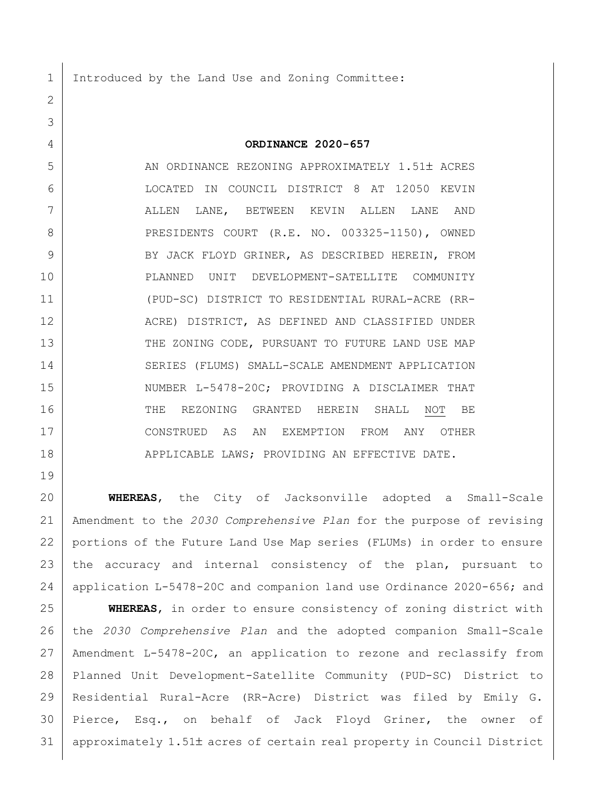1 Introduced by the Land Use and Zoning Committee:

## **ORDINANCE 2020-657**

5 | AN ORDINANCE REZONING APPROXIMATELY 1.51± ACRES LOCATED IN COUNCIL DISTRICT 8 AT 12050 KEVIN ALLEN LANE, BETWEEN KEVIN ALLEN LANE AND 8 PRESIDENTS COURT (R.E. NO. 003325-1150), OWNED 9 BY JACK FLOYD GRINER, AS DESCRIBED HEREIN, FROM PLANNED UNIT DEVELOPMENT-SATELLITE COMMUNITY (PUD-SC) DISTRICT TO RESIDENTIAL RURAL-ACRE (RR- ACRE) DISTRICT, AS DEFINED AND CLASSIFIED UNDER 13 THE ZONING CODE, PURSUANT TO FUTURE LAND USE MAP SERIES (FLUMS) SMALL-SCALE AMENDMENT APPLICATION 15 NUMBER L-5478-20C; PROVIDING A DISCLAIMER THAT 16 THE REZONING GRANTED HEREIN SHALL NOT BE CONSTRUED AS AN EXEMPTION FROM ANY OTHER 18 | APPLICABLE LAWS; PROVIDING AN EFFECTIVE DATE.

 **WHEREAS**, the City of Jacksonville adopted a Small-Scale Amendment to the *2030 Comprehensive Plan* for the purpose of revising portions of the Future Land Use Map series (FLUMs) in order to ensure the accuracy and internal consistency of the plan, pursuant to application L-5478-20C and companion land use Ordinance 2020-656; and

 **WHEREAS**, in order to ensure consistency of zoning district with the *2030 Comprehensive Plan* and the adopted companion Small-Scale Amendment L-5478-20C, an application to rezone and reclassify from Planned Unit Development-Satellite Community (PUD-SC) District to Residential Rural-Acre (RR-Acre) District was filed by Emily G. Pierce, Esq., on behalf of Jack Floyd Griner, the owner of 31 approximately 1.51± acres of certain real property in Council District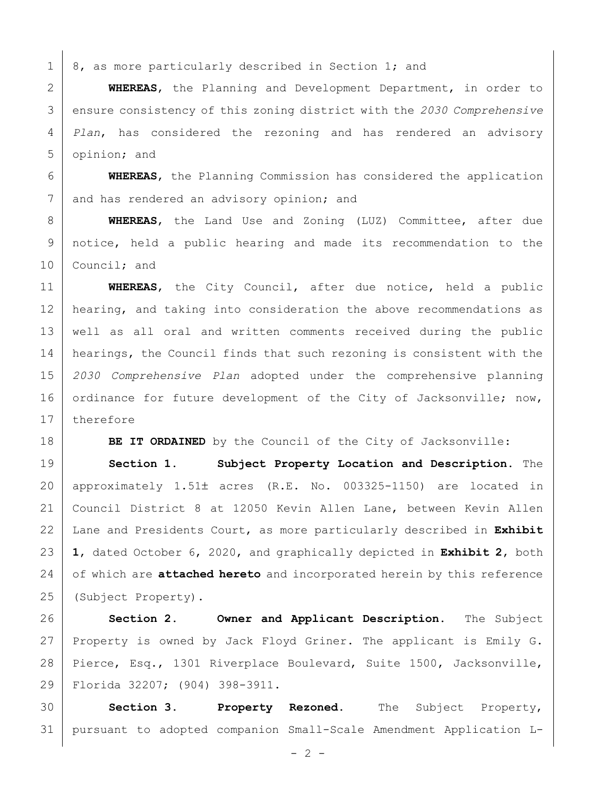$1 \mid 8$ , as more particularly described in Section 1; and

 **WHEREAS**, the Planning and Development Department, in order to ensure consistency of this zoning district with the *2030 Comprehensive Plan*, has considered the rezoning and has rendered an advisory opinion; and

 **WHEREAS**, the Planning Commission has considered the application 7 and has rendered an advisory opinion; and

 **WHEREAS**, the Land Use and Zoning (LUZ) Committee, after due notice, held a public hearing and made its recommendation to the 10 Council; and

 **WHEREAS**, the City Council, after due notice, held a public 12 | hearing, and taking into consideration the above recommendations as well as all oral and written comments received during the public 14 | hearings, the Council finds that such rezoning is consistent with the *2030 Comprehensive Plan* adopted under the comprehensive planning 16 ordinance for future development of the City of Jacksonville; now, 17 therefore

**BE IT ORDAINED** by the Council of the City of Jacksonville:

 **Section 1. Subject Property Location and Description.** The 20 | approximately  $1.51\pm$  acres (R.E. No. 003325-1150) are located in Council District 8 at 12050 Kevin Allen Lane, between Kevin Allen Lane and Presidents Court, as more particularly described in **Exhibit 1**, dated October 6, 2020, and graphically depicted in **Exhibit 2**, both of which are **attached hereto** and incorporated herein by this reference (Subject Property).

 **Section 2. Owner and Applicant Description.** The Subject 27 Property is owned by Jack Floyd Griner. The applicant is Emily G. 28 Pierce, Esq., 1301 Riverplace Boulevard, Suite 1500, Jacksonville, Florida 32207; (904) 398-3911.

 **Section 3. Property Rezoned.** The Subject Property, pursuant to adopted companion Small-Scale Amendment Application L-

 $- 2 -$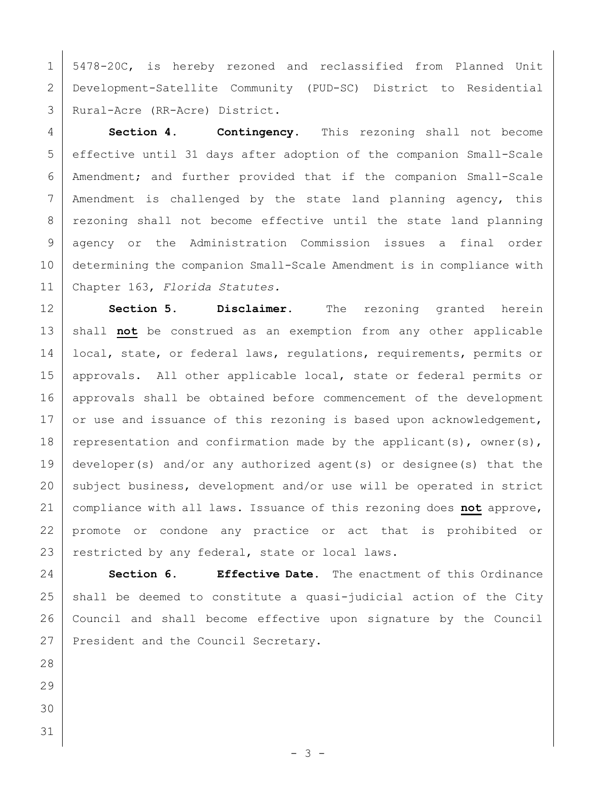5478-20C, is hereby rezoned and reclassified from Planned Unit Development-Satellite Community (PUD-SC) District to Residential Rural-Acre (RR-Acre) District.

 **Section 4. Contingency.** This rezoning shall not become effective until 31 days after adoption of the companion Small-Scale Amendment; and further provided that if the companion Small-Scale Amendment is challenged by the state land planning agency, this 8 | rezoning shall not become effective until the state land planning agency or the Administration Commission issues a final order determining the companion Small-Scale Amendment is in compliance with Chapter 163, *Florida Statutes.*

 **Section 5. Disclaimer.** The rezoning granted herein 13 | shall not be construed as an exemption from any other applicable 14 | local, state, or federal laws, regulations, requirements, permits or 15 | approvals. All other applicable local, state or federal permits or 16 approvals shall be obtained before commencement of the development 17 or use and issuance of this rezoning is based upon acknowledgement, 18 representation and confirmation made by the applicant(s), owner(s), developer(s) and/or any authorized agent(s) or designee(s) that the 20 subject business, development and/or use will be operated in strict compliance with all laws. Issuance of this rezoning does **not** approve, promote or condone any practice or act that is prohibited or 23 restricted by any federal, state or local laws.

 **Section 6. Effective Date.** The enactment of this Ordinance shall be deemed to constitute a quasi-judicial action of the City Council and shall become effective upon signature by the Council 27 President and the Council Secretary.

- 
- 
- 
-